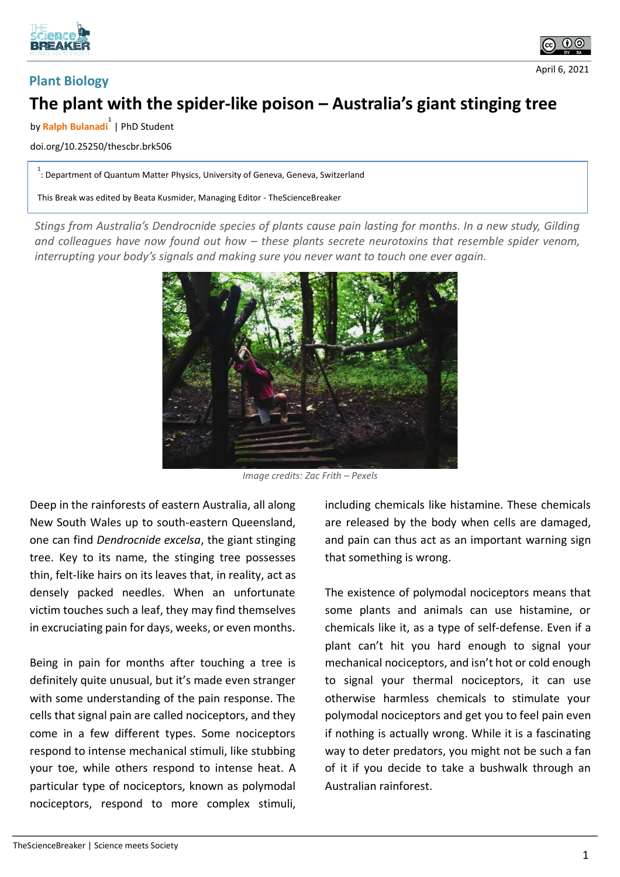



**Plant Biology**



## **The plant with the spider-like poison – Australia's giant stinging tree**

by **Ralph Bulanadi 1** | PhD Student

doi.org/10.25250/thescbr.brk506

<sup>1</sup> : Department of Quantum Matter Physics, University of Geneva, Geneva, Switzerland

This Break was edited by Beata Kusmider, Managing Editor - TheScienceBreaker

*Stings from Australia's Dendrocnide species of plants cause pain lasting for months. In a new study, Gilding and colleagues have now found out how – these plants secrete neurotoxins that resemble spider venom, interrupting your body's signals and making sure you never want to touch one ever again.*



*Image credits: Zac Frith – Pexels*

Deep in the rainforests of eastern Australia, all along New South Wales up to south-eastern Queensland, one can find *Dendrocnide excelsa*, the giant stinging tree. Key to its name, the stinging tree possesses thin, felt-like hairs on its leaves that, in reality, act as densely packed needles. When an unfortunate victim touches such a leaf, they may find themselves in excruciating pain for days, weeks, or even months.

Being in pain for months after touching a tree is definitely quite unusual, but it's made even stranger with some understanding of the pain response. The cells that signal pain are called nociceptors, and they come in a few different types. Some nociceptors respond to intense mechanical stimuli, like stubbing your toe, while others respond to intense heat. A particular type of nociceptors, known as polymodal nociceptors, respond to more complex stimuli,

including chemicals like histamine. These chemicals are released by the body when cells are damaged, and pain can thus act as an important warning sign that something is wrong.

The existence of polymodal nociceptors means that some plants and animals can use histamine, or chemicals like it, as a type of self-defense. Even if a plant can't hit you hard enough to signal your mechanical nociceptors, and isn't hot or cold enough to signal your thermal nociceptors, it can use otherwise harmless chemicals to stimulate your polymodal nociceptors and get you to feel pain even if nothing is actually wrong. While it is a fascinating way to deter predators, you might not be such a fan of it if you decide to take a bushwalk through an Australian rainforest.